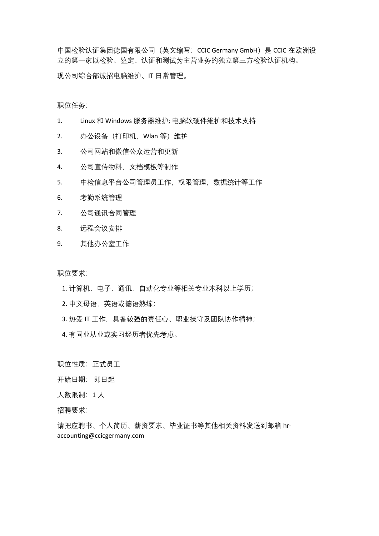中国检验认证集团德国有限公司(英文缩写: CCIC Germany GmbH) 是 CCIC 在欧洲设 立的第一家以检验、鉴定、认证和测试为主营业务的独立第三方检验认证机构。 现公司综合部诚招电脑维护、IT 日常管理。

职位任务:

- 1. Linux 和 Windows 服务器维护; 电脑软硬件维护和技术支持
- 2. 办公设备(打印机,Wlan 等)维护
- 3. 公司网站和微信公众运营和更新
- 4. 公司宣传物料,文档模板等制作
- 5. 中检信息平台公司管理员工作,权限管理,数据统计等工作
- 6. 考勤系统管理
- 7. 公司通讯合同管理
- 8. 远程会议安排
- 9. 其他办公室工作

职位要求:

- 1. 计算机、电子、通讯,自动化专业等相关专业本科以上学历;
- 2. 中文母语,英语或德语熟练;
- 3. 热爱 IT 工作,具备较强的责任心、职业操守及团队协作精神;
- 4. 有同业从业或实习经历者优先考虑。

职位性质: 正式员工

开始日期: 即日起

人数限制:1 人

招聘要求:

请把应聘书、个人简历、薪资要求、毕业证书等其他相关资料发送到邮箱 hraccounting@ccicgermany.com